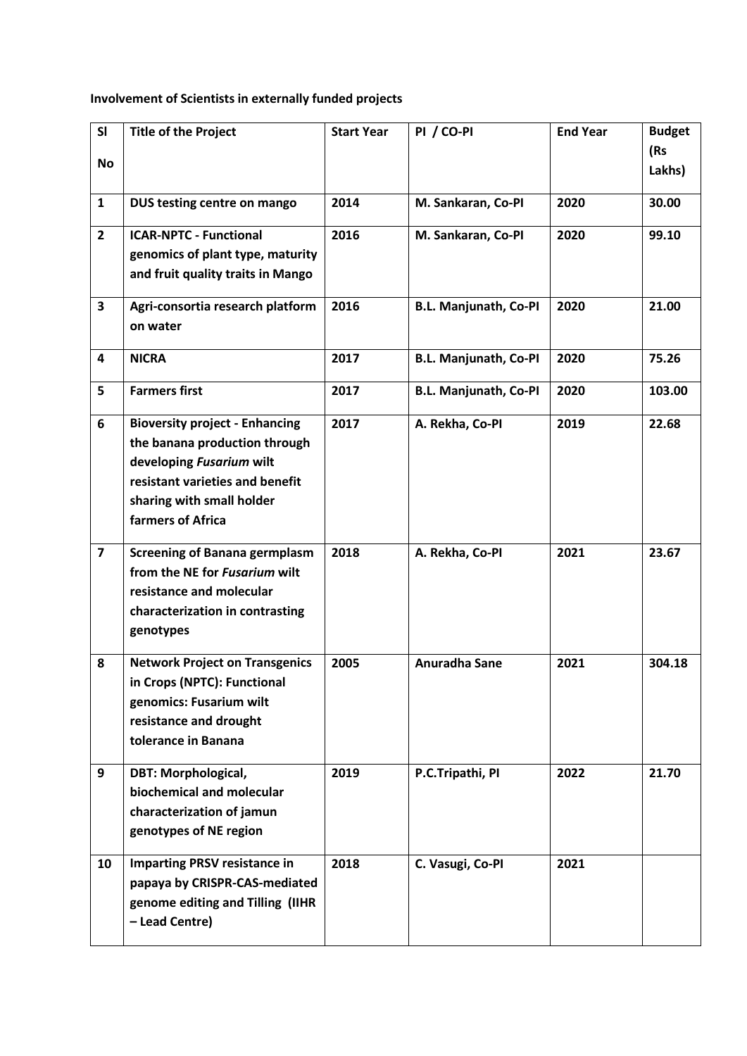## **Involvement of Scientists in externally funded projects**

| SI                      | <b>Title of the Project</b>           | <b>Start Year</b> | PI / CO-PI                   | <b>End Year</b> | <b>Budget</b> |
|-------------------------|---------------------------------------|-------------------|------------------------------|-----------------|---------------|
| <b>No</b>               |                                       |                   |                              |                 | (Rs           |
|                         |                                       |                   |                              |                 | Lakhs)        |
| $\mathbf{1}$            | DUS testing centre on mango           | 2014              | M. Sankaran, Co-PI           | 2020            | 30.00         |
|                         |                                       |                   |                              |                 |               |
| $\overline{2}$          | <b>ICAR-NPTC - Functional</b>         | 2016              | M. Sankaran, Co-PI           | 2020            | 99.10         |
|                         | genomics of plant type, maturity      |                   |                              |                 |               |
|                         | and fruit quality traits in Mango     |                   |                              |                 |               |
| 3                       | Agri-consortia research platform      | 2016              | <b>B.L. Manjunath, Co-PI</b> | 2020            | 21.00         |
|                         | on water                              |                   |                              |                 |               |
|                         |                                       |                   |                              |                 |               |
| 4                       | <b>NICRA</b>                          | 2017              | <b>B.L. Manjunath, Co-PI</b> | 2020            | 75.26         |
| 5                       | <b>Farmers first</b>                  | 2017              | <b>B.L. Manjunath, Co-PI</b> | 2020            | 103.00        |
| 6                       | <b>Bioversity project - Enhancing</b> | 2017              | A. Rekha, Co-PI              | 2019            | 22.68         |
|                         | the banana production through         |                   |                              |                 |               |
|                         | developing Fusarium wilt              |                   |                              |                 |               |
|                         | resistant varieties and benefit       |                   |                              |                 |               |
|                         | sharing with small holder             |                   |                              |                 |               |
|                         | farmers of Africa                     |                   |                              |                 |               |
| $\overline{\mathbf{z}}$ | <b>Screening of Banana germplasm</b>  | 2018              | A. Rekha, Co-PI              | 2021            | 23.67         |
|                         | from the NE for <i>Fusarium</i> wilt  |                   |                              |                 |               |
|                         | resistance and molecular              |                   |                              |                 |               |
|                         | characterization in contrasting       |                   |                              |                 |               |
|                         | genotypes                             |                   |                              |                 |               |
| 8                       | <b>Network Project on Transgenics</b> | 2005              | Anuradha Sane                | 2021            | 304.18        |
|                         | in Crops (NPTC): Functional           |                   |                              |                 |               |
|                         | genomics: Fusarium wilt               |                   |                              |                 |               |
|                         | resistance and drought                |                   |                              |                 |               |
|                         | tolerance in Banana                   |                   |                              |                 |               |
| 9                       | <b>DBT: Morphological,</b>            | 2019              | P.C.Tripathi, PI             | 2022            | 21.70         |
|                         | biochemical and molecular             |                   |                              |                 |               |
|                         | characterization of jamun             |                   |                              |                 |               |
|                         | genotypes of NE region                |                   |                              |                 |               |
| 10                      | <b>Imparting PRSV resistance in</b>   | 2018              | C. Vasugi, Co-PI             | 2021            |               |
|                         | papaya by CRISPR-CAS-mediated         |                   |                              |                 |               |
|                         | genome editing and Tilling (IIHR      |                   |                              |                 |               |
|                         | - Lead Centre)                        |                   |                              |                 |               |
|                         |                                       |                   |                              |                 |               |